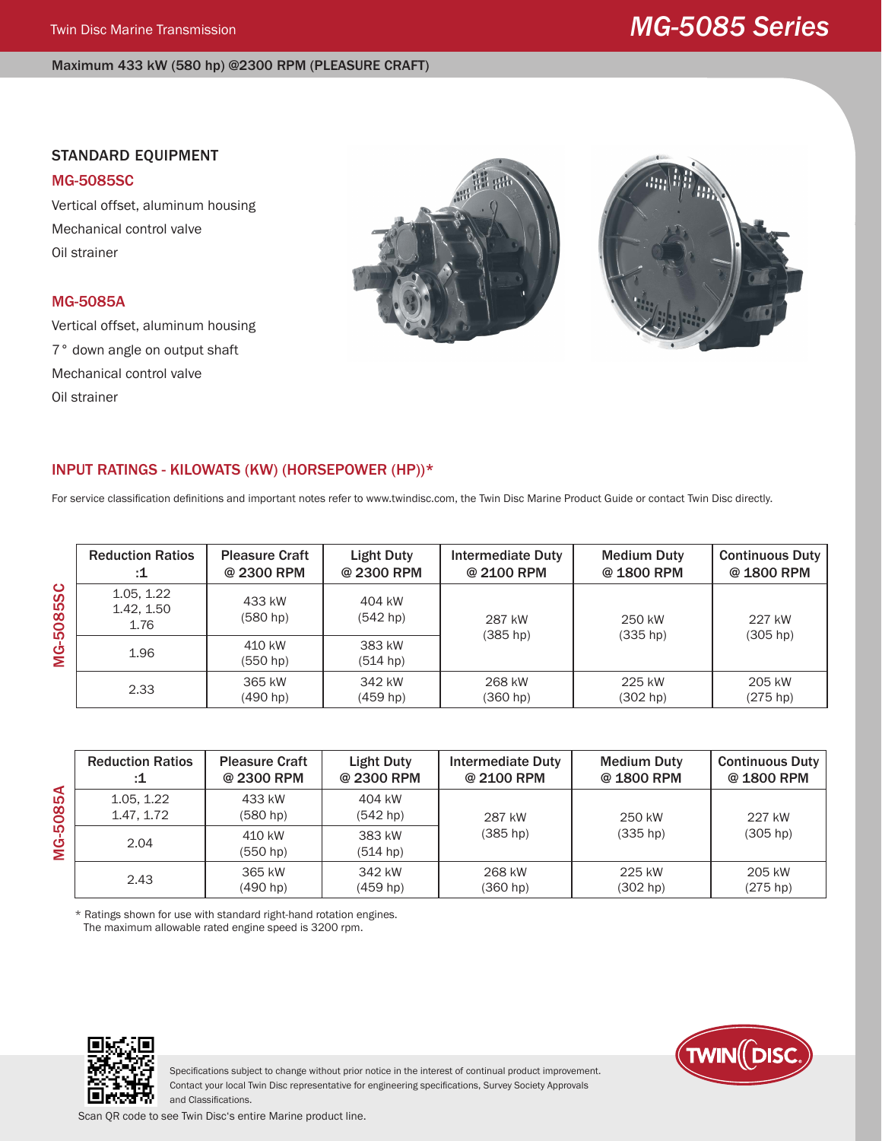#### Maximum 433 kW (580 hp) @2300 RPM (PLEASURE CRAFT)

### STANDARD EQUIPMENT

#### MG-5085SC

Vertical offset, aluminum housing Mechanical control valve Oil strainer

## MG-5085A

Vertical offset, aluminum housing 7° down angle on output shaft Mechanical control valve Oil strainer





# INPUT RATINGS - KILOWATS (KW) (HORSEPOWER (HP))\*

For service classification definitions and important notes refer to www.twindisc.com, the Twin Disc Marine Product Guide or contact Twin Disc directly.

| ပ<br>ທ<br>ထိ<br>Ó<br>הו<br>Ġ<br>Σ | <b>Reduction Ratios</b><br>:1    | <b>Pleasure Craft</b><br>@ 2300 RPM | Light Duty<br>@ 2300 RPM | <b>Intermediate Duty</b><br>@ 2100 RPM | <b>Medium Duty</b><br>@1800 RPM | <b>Continuous Duty</b><br>@ 1800 RPM |
|-----------------------------------|----------------------------------|-------------------------------------|--------------------------|----------------------------------------|---------------------------------|--------------------------------------|
|                                   | 1.05, 1.22<br>1.42, 1.50<br>1.76 | 433 kW<br>(580 hp)                  | 404 kW<br>(542 hp)       | 287 kW                                 | 250 kW                          | 227 kW                               |
|                                   | 1.96                             | 410 kW<br>(550 <sub>hp</sub> )      | 383 kW<br>(514 hp)       | (385 hp)                               | $(335$ hp)                      | (305 hp)                             |
|                                   | 2.33                             | 365 kW<br>(490 h p)                 | 342 kW<br>(459 hp)       | 268 kW<br>(360 hp)                     | 225 kW<br>(302 hp)              | 205 kW<br>(275 hp)                   |

**MG-5085A** MG-5085A

| <b>Reduction Ratios</b>  | <b>Pleasure Craft</b> | Light Duty                   | Intermediate Duty | <b>Medium Duty</b>   | <b>Continuous Duty</b> |
|--------------------------|-----------------------|------------------------------|-------------------|----------------------|------------------------|
| :1                       | @ 2300 RPM            | @ 2300 RPM                   | @ 2100 RPM        | @1800 RPM            | @ 1800 RPM             |
| 1.05, 1.22<br>1.47, 1.72 | 433 kW<br>(580 hp)    | 404 kW<br>(542 hp)<br>287 kW |                   | 250 kW<br>$(335$ hp) | 227 kW<br>(305 hp)     |
| 2.04                     | 410 kW<br>(550 hp)    | 383 kW<br>(514 hp)           | (385 hp)          |                      |                        |
| 2.43                     | 365 kW                | 342 kW                       | 268 kW            | 225 kW               | 205 kW                 |
|                          | (490 hp)              | (459 hp)                     | (360 hp)          | (302 hp)             | (275 hp)               |

\* Ratings shown for use with standard right-hand rotation engines. The maximum allowable rated engine speed is 3200 rpm.





Specifications subject to change without prior notice in the interest of continual product improvement. Contact your local Twin Disc representative for engineering specifications, Survey Society Approvals and Classifications.

Scan QR code to see Twin Disc's entire Marine product line.